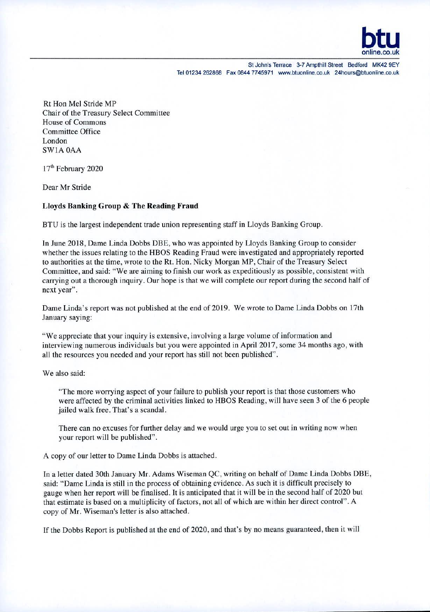

Rt Hon Mel Stride MP Chair of the Treasury Select Committee House of Commons Committee Office London SW1A OAA

17<sup>th</sup> February 2020

Dear Mr Stride

## **Lloyds Banking Group & The Reading Fraud**

BTU is the largest independent trade union representing staff in Lloyds Banking Group.

In June 2018, Dame Linda Dobbs DBE, who was appointed by Lloyds Banking Group to consider whether the issues relating to the HBOS Reading Fraud were investigated and appropriately reported to authorities at the time, wrote to the Rt. Hon. Nicky Morgan MP, Chair of the Treasury Select Committee, and said: "We are aiming to finish our work as expeditiously as possible, consistent with carrying out a thorough inquiry. Our hope is that we will complete our report during the second half of next year".

Dame Linda's report was not published at the end of 2019. We wrote to Dame Linda Dobbs on 17th January saying:

"We appreciate that your inquiry is extensive, involving a large volume of information and interviewing numerous individuals but you were appointed in April 2017, some 34 months ago, with all the resources you needed and your report has still not been published".

We also said:

"The more worrying aspect of your failure to publish your report is that those customers who were affected by the criminal activities linked to HBOS Reading, will have seen 3 of the 6 people jailed walk free. That's a scandal.

There can no excuses for further delay and we would urge you to set out in writing now when your report will be published".

A copy of our letter to Dame Linda Dobbs is attached.

In a letter dated 30th January Mr. Adams Wiseman QC. writing on behalf of Dame Linda Dobbs DBE, said: "Dame Linda is still in the process of obtaining evidence. As such it is difficult precisely to gauge when her report will be finalised. It is anticipated that it will be in the second half of 2020 but that estimate is based on a multiplicity of factors, not all of which are within her direct control". A copy of Mr. Wiseman's letter is also attached.

If the Dobbs Report is published at the end of 2020, and that's by no means guaranteed, then it will